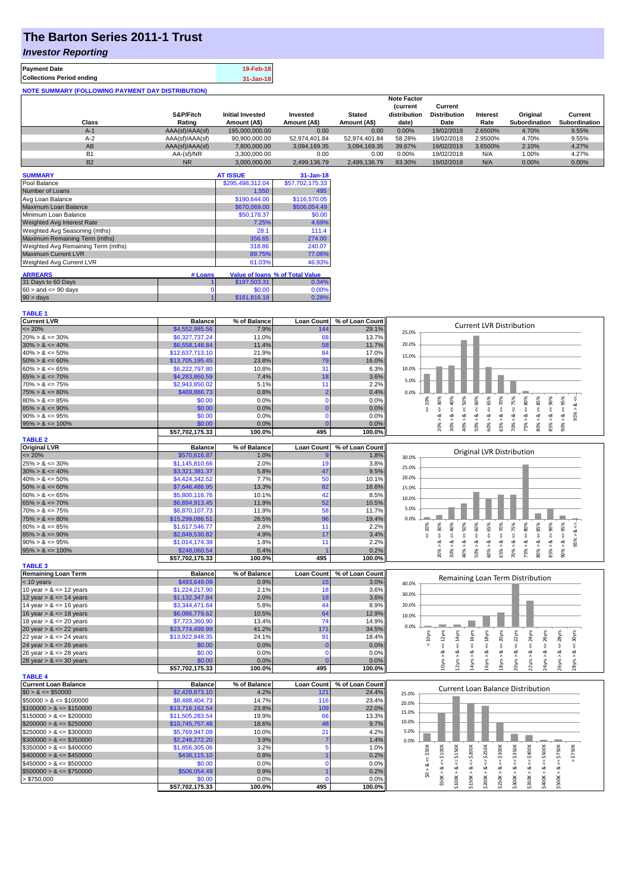# **The Barton Series 2011-1 Trust**

### *Investor Reporting*

| <b>Payment Date</b>                                      | 19-Feb-18 |
|----------------------------------------------------------|-----------|
| <b>Collections Period ending</b>                         | 31-Jan-18 |
| <b>NOTE SUMMARY (FOLLOWING PAYMENT DAY DISTRIBUTION)</b> |           |

|           |                 |                         |               |               | <b>Note Factor</b> |                     |                 |               |               |
|-----------|-----------------|-------------------------|---------------|---------------|--------------------|---------------------|-----------------|---------------|---------------|
|           |                 |                         |               |               | <b>Current</b>     | Current             |                 |               |               |
|           | S&P/Fitch       | <b>Initial Invested</b> | Invested      | <b>Stated</b> | distribution       | <b>Distribution</b> | <b>Interest</b> | Original      | Current       |
| Class     | Rating          | Amount (A\$)            | Amount (A\$)  | Amount (A\$)  | date)              | Date                | Rate            | Subordination | Subordination |
| $A-1$     | AAA(sf)/AAA(sf) | 195,000,000,00          | 0.00          | 0.00          | 0.00%              | 19/02/2018          | 2.6500%         | 4.70%         | 9.55%         |
| $A-2$     | AAA(sf)/AAA(sf) | 90,900,000.00           | 52.974.401.84 | 52.974.401.84 | 58.28%             | 19/02/2018          | 2.9500%         | 4.70%         | 9.55%         |
| AB        | AAA(sf)/AAA(sf) | 7.800.000.00            | 3.094.169.35  | 3.094.169.35  | 39.67%             | 19/02/2018          | 3.6500%         | 2.10%         | 4.27%         |
| B1        | AA-(sf)/NR      | 3.300.000.00            | 0.00          | 0.00          | 0.00%              | 19/02/2018          | N/A             | 1.00%         | 4.27%         |
| <b>B2</b> | N <sub>R</sub>  | 3.000.000.00            | 2.499.136.79  | 2.499.136.79  | 83.30%             | 19/02/2018          | N/A             | $0.00\%$      | 0.00%         |

| <b>SUMMARY</b>                     |         | <b>AT ISSUE</b>  | $31 - Jan-18$                   |
|------------------------------------|---------|------------------|---------------------------------|
| Pool Balance                       |         | \$295,498,312.04 | \$57,702,175.33                 |
| Number of Loans                    |         | 1,550            | 495                             |
| Avg Loan Balance                   |         | \$190,644.00     | \$116,570.05                    |
| Maximum Loan Balance               |         | \$670,069.00     | \$506,054.49                    |
| Minimum Loan Balance               |         | \$50,178.37      | \$0.00                          |
| <b>Weighted Avg Interest Rate</b>  |         | 7.25%            | 4.69%                           |
| Weighted Avg Seasoning (mths)      |         | 28.1             | 111.4                           |
| Maximum Remaining Term (mths)      |         | 356.65           | 274.00                          |
| Weighted Avg Remaining Term (mths) |         | 318.86           | 240.07                          |
| <b>Maximum Current LVR</b>         |         | 89.75%           | 77.06%                          |
| Weighted Avg Current LVR           |         | 61.03%           | 46.93%                          |
| <b>ARREARS</b>                     |         |                  |                                 |
|                                    | # Loans |                  | Value of Ioans % of Total Value |
| 31 Days to 60 Days                 |         | \$197,503.31     | 0.34%                           |
| $60 >$ and $\leq 90$ days          | 0       | \$0.00           | 0.00%                           |
| $90 > \text{days}$                 |         | \$161,816.18     | 0.28%                           |

| <b>TABLE 1</b>              |                 |              |                   |                 |                                                                                                                                                                                                                                                   |
|-----------------------------|-----------------|--------------|-------------------|-----------------|---------------------------------------------------------------------------------------------------------------------------------------------------------------------------------------------------------------------------------------------------|
| <b>Current LVR</b>          | <b>Balance</b>  | % of Balance | <b>Loan Count</b> | % of Loan Count |                                                                                                                                                                                                                                                   |
| $\leq$ 20%                  | \$4,552,985.56  | 7.9%         | 144               | 29.1%           | <b>Current LVR Distribution</b><br>25.0%                                                                                                                                                                                                          |
| $20\% > 8 \le 30\%$         | \$6,327,737.24  | 11.0%        | 68                | 13.7%           |                                                                                                                                                                                                                                                   |
| $30\% > 8 \le 40\%$         | \$6,558,148.84  | 11.4%        | 58                | 11.7%           | 20.0%                                                                                                                                                                                                                                             |
| $40\% > 8 \le 50\%$         | \$12,637,713.10 | 21.9%        | 84                | 17.0%           |                                                                                                                                                                                                                                                   |
| $50\% > 8 \le 60\%$         | \$13,705,195.45 | 23.8%        | 79                | 16.0%           | 15.0%                                                                                                                                                                                                                                             |
| $60\% > 8 \le 65\%$         | \$6,222,797.80  | 10.8%        | 31                | 6.3%            | 10.0%                                                                                                                                                                                                                                             |
| $65\% > 8 \le 70\%$         | \$4,283,860.59  | 7.4%         | 18                | 3.6%            |                                                                                                                                                                                                                                                   |
| $70\% > 8 \le 75\%$         | \$2,943,850.02  | 5.1%         | 11                | 2.2%            | 5.0%                                                                                                                                                                                                                                              |
| $75\% > 8 \le 80\%$         | \$469,886.73    | 0.8%         | -2                | 0.4%            | 0.0%                                                                                                                                                                                                                                              |
| $80\% > 8 \le 85\%$         | \$0.00          | 0.0%         | $\Omega$          | 0.0%            | 95%<br>20%<br>70%<br>8 <                                                                                                                                                                                                                          |
| $85\% > 8 \le 90\%$         | \$0.00          | 0.0%         | $\mathbf 0$       | 0.0%            | $<=$ 50%<br>$8 - 30%$<br>₩,<br>₹<br>V                                                                                                                                                                                                             |
| $90\% > 8 \le 95\%$         | \$0.00          | 0.0%         | $\Omega$          | 0.0%            | 95%<br>જ<br>ż                                                                                                                                                                                                                                     |
| $95\% > 8 \le 100\%$        | \$0.00          | 0.0%         |                   | 0.0%            | $50\% > 8 \le 60\%$<br>$30\% > 8 <= 40\%$<br>$60\% > 8 \leq 65\%$<br>$70\% > 8 <= 75\%$<br>$75\% > 8 <= 80\%$<br>$80\% > 8 <= 85\%$<br>$85\% > 8 <= 90\%$<br>$90\% > 8.$<br>40% > i<br>20% ><br>65% >                                             |
|                             | \$57,702,175.33 | 100.0%       | 495               | 100.0%          |                                                                                                                                                                                                                                                   |
| <b>TABLE 2</b>              |                 |              |                   |                 |                                                                                                                                                                                                                                                   |
| <b>Original LVR</b>         | <b>Balance</b>  | % of Balance | <b>Loan Count</b> | % of Loan Count |                                                                                                                                                                                                                                                   |
| $\leq$ 20%                  | \$570,616.87    | 1.0%         |                   | 1.8%            | Original LVR Distribution<br>30.0%                                                                                                                                                                                                                |
| $25\% > 8 \le 30\%$         | \$1,145,810.66  | 2.0%         | 19                | 3.8%            |                                                                                                                                                                                                                                                   |
| $30\% > 8 \le 40\%$         | \$3,321,381.37  | 5.8%         | 47                | 9.5%            | 25.0%                                                                                                                                                                                                                                             |
| $40\% > 8 \le 50\%$         | \$4,424,342.52  | 7.7%         | 50                | 10.1%           | 20.0%                                                                                                                                                                                                                                             |
| $50\% > 8 \le 60\%$         | \$7,646,486.95  | 13.3%        | 82                | 16.6%           | 15.0%                                                                                                                                                                                                                                             |
| $60\% > 8 \le 65\%$         | \$5,800,116.76  | 10.1%        | 42                | 8.5%            |                                                                                                                                                                                                                                                   |
| $65\% > 8 \le 70\%$         | \$6,894,913.45  | 11.9%        | 52                | 10.5%           | 10.0%                                                                                                                                                                                                                                             |
| $70\% > 8 \le 75\%$         | \$6,870,107.73  | 11.9%        | 58                | 11.7%           | 5.0%                                                                                                                                                                                                                                              |
| $75\% > 8 \le 80\%$         | \$15,299,086.51 | 26.5%        | 96                | 19.4%           | 0.0%                                                                                                                                                                                                                                              |
| $80\% > 8 \le 85\%$         | \$1,617,546.77  | 2.8%         | 11                | 2.2%            | $4 = 90\%$<br>$4 = 60\%$<br>$4 = 75\%$<br>95%<br>30%<br>$40\%$<br>50%<br>70%<br>20%<br>8 < 1                                                                                                                                                      |
| $85\% > 8 \le 90\%$         | \$2,849,530.82  | 4.9%         | 17                | 3.4%            | $4 = 65\%$<br>$\leq 80\%$<br>₩<br>₩<br>₩<br>₩                                                                                                                                                                                                     |
| $90\% > 8 \le 95\%$         | \$1,014,174.38  | 1.8%         | 11                | 2.2%            | 95% ><br>ಷ<br>ಹ<br>ಷ<br>ವ<br>ಷ<br>∞<br>œ<br>ಷ<br>ಷ<br>ø                                                                                                                                                                                           |
| $95\% > 8 \le 100\%$        | \$248,060.54    | 0.4%         |                   | 0.2%            | $80\% > 8 \Leftarrow 85\%$<br>20% ><br>30% ><br>50% ><br>60% ><br>70% ><br>75% ><br>85%<br>40% ><br>65% ><br>$90\%$                                                                                                                               |
|                             | \$57,702,175.33 | 100.0%       | 495               | 100.0%          |                                                                                                                                                                                                                                                   |
| <b>TABLE 3</b>              |                 |              |                   |                 |                                                                                                                                                                                                                                                   |
| <b>Remaining Loan Term</b>  | <b>Balance</b>  | % of Balance | <b>Loan Count</b> | % of Loan Count |                                                                                                                                                                                                                                                   |
| $<$ 10 years                | \$493,649.09    | 0.9%         | 15                | 3.0%            | Remaining Loan Term Distribution<br>40.0%                                                                                                                                                                                                         |
| 10 year $> 8 \le 12$ years  | \$1,224,217.90  | 2.1%         | 18                | 3.6%            |                                                                                                                                                                                                                                                   |
| 12 year $> 8 \le 14$ years  | \$1,132,347.84  | 2.0%         | 18                | 3.6%            | 30.0%                                                                                                                                                                                                                                             |
| 14 year $> 8 \le 16$ years  | \$3,344,471.64  | 5.8%         | 44                | 8.9%            | 20.0%                                                                                                                                                                                                                                             |
| 16 year $> 8 \le 18$ years  | \$6,086,779.62  | 10.5%        | 64                | 12.9%           | 10.0%                                                                                                                                                                                                                                             |
| 18 year $> 8 \le 20$ years  | \$7,723,360.90  | 13.4%        | 74                | 14.9%           |                                                                                                                                                                                                                                                   |
| 20 year $> 8 \le 22$ years  | \$23,774,499.99 | 41.2%        | 171               | 34.5%           | 0.0%                                                                                                                                                                                                                                              |
| 22 year $> 8 \le 24$ years  | \$13,922,848.35 | 24.1%        | 91                | 18.4%           | $\leq$ 24yrs<br>$\leq$ 22 $\gamma$ rs<br>$\leq 16$ yrs<br>$\leq 18$ yrs<br>$\leq$ 20yrs<br>$\leq$ 26yrs<br>$\leq$ 28 $\gamma$ rs<br>$\leq$ 30 $\gamma$ rs<br>$< 10$ yrs<br>$\epsilon$ = 12yrs<br>$\leq 14$ yrs                                    |
| 24 year $> 8 \le 26$ years  | \$0.00          | 0.0%         | $\Omega$          | 0.0%            |                                                                                                                                                                                                                                                   |
| 26 year $> 8 \le 28$ years  | \$0.00          | 0.0%         | $\mathbf 0$       | 0.0%            | ಷ<br>ಷ<br>ಷ<br>ಷ<br>ಷ<br>ಷ<br>ಷ<br>∞<br>ಷ                                                                                                                                                                                                         |
| 28 year $> 8 \le 30$ years  | \$0.00          | 0.0%         |                   | 0.0%            | 24yrs > 8<br>10yrs ><br>16yrs > 8<br>20yrs > 8<br>26yrs > 8<br>12yrs<br>14yrs<br>18yrs<br>22yrs ><br>28yrs                                                                                                                                        |
|                             | \$57,702,175.33 | 100.0%       | 495               | 100.0%          |                                                                                                                                                                                                                                                   |
| <b>TABLE 4</b>              |                 |              |                   |                 |                                                                                                                                                                                                                                                   |
| <b>Current Loan Balance</b> | <b>Balance</b>  | % of Balance | <b>Loan Count</b> | % of Loan Count | <b>Current Loan Balance Distribution</b>                                                                                                                                                                                                          |
| $$0 > 8 \le $50000$         | \$2,429,873.10  | 4.2%         | 121               | 24.4%           | 25.0%                                                                                                                                                                                                                                             |
| $$50000 > 8 \le $100000$    | \$8,488,404.73  | 14.7%        | 116               | 23.4%           | 20.0%                                                                                                                                                                                                                                             |
| $$100000 > 8 \leq $150000$  | \$13,716,162.54 | 23.8%        | 109               | 22.0%           | 15.0%                                                                                                                                                                                                                                             |
| $$150000 > 8 \leq $200000$  | \$11,505,283.54 | 19.9%        | 66                | 13.3%           |                                                                                                                                                                                                                                                   |
| $$200000 > 8 \leq $250000$  | \$10,745,757.48 | 18.6%        | 48                | 9.7%            | 10.0%                                                                                                                                                                                                                                             |
| $$250000 > 8 \leq $300000$  | \$5,769,947.09  | 10.0%        | 21                | 4.2%            | 5.0%                                                                                                                                                                                                                                              |
| $$300000 > 8 \leq $350000$  | \$2,248,272.20  | 3.9%         |                   | 1.4%            | 0.0%                                                                                                                                                                                                                                              |
| $$350000 > 8 \leq $400000$  | \$1,856,305.06  | 3.2%         | 5                 | 1.0%            | $>$ \$750K<br>\$50K<br>\$250K                                                                                                                                                                                                                     |
| $$400000 > 8 \le $450000$   | \$436,115.10    | 0.8%         |                   | 0.2%            |                                                                                                                                                                                                                                                   |
| $$450000 > 8 \le $500000$   | \$0.00          | 0.0%         | $\Omega$          | 0.0%            | $$50K > 8 <= $100K$<br>$$100K > 8 <= $150K$<br>$$150K > <= $200K$$<br>$$250K > 8 <= $300K$<br>$$300K > 8 <= $350K$<br>$$350K > 8 <= $400K$<br>$$400K > <= $500K$<br>$$500K > 8 <= $750K$<br>$$0 > 8 <=$<br>$\overset{\shortparallel}{\mathsf{v}}$ |
| $$500000 > 8 \leq $750000$  | \$506,054.49    | 0.9%         |                   | 0.2%            | \$200K > 8                                                                                                                                                                                                                                        |
| > \$750,000                 | \$0.00          | 0.0%         | $\Omega$          | 0.0%            |                                                                                                                                                                                                                                                   |
|                             | \$57,702,175.33 | 100.0%       | 495               | 100.0%          |                                                                                                                                                                                                                                                   |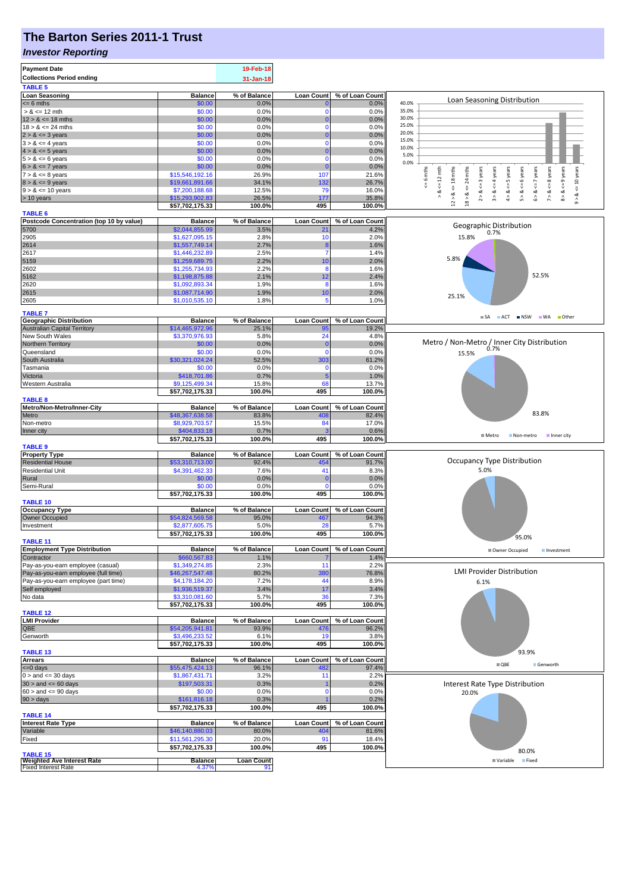# **The Barton Series 2011-1 Trust**

#### *Investor Reporting*

| <b>Loan Seasoning</b><br>% of Balance<br><b>Loan Count</b><br>% of Loan Count<br><b>Balance</b><br>Loan Seasoning Distribution<br>40.0%<br>$= 6$ mths<br>\$0.00<br>0.0%<br>0.0%<br>35.0%<br>$> 8 \le 12$ mth<br>\$0.00<br>0.0%<br>0.0%<br>$\Omega$<br>30.0%<br>$12 > 8 \le 18$ mths<br>\$0.00<br>0.0%<br>0.0%<br>$\Omega$<br>25.0%<br>$18 > 8 \le 24$ mths<br>\$0.00<br>0.0%<br>0.0%<br>20.0%<br>\$0.00<br>0.0%<br>$2 > 8 \le 3$ years<br>0.0%<br>15.0%<br>$3 > 8 \le 4$ years<br>\$0.00<br>0.0%<br>0.0%<br>$\Omega$<br>10.0%<br>$4 > 8 \le 5$ years<br>\$0.00<br>0.0%<br>0.0%<br>5.0%<br>\$0.00<br>0.0%<br>0.0%<br>$\Omega$<br>0.0%<br>\$0.00<br>0.0%<br>0.0%<br>$\Omega$<br>$7 > 8 < 8$ years<br>$8 > 8 \leq 9$ years<br>$\leq 6$ mths<br>24 mths<br>$5 > 8 < 6$ years<br>$6 > 8 < 7$ years<br>$\le$ = 10 years<br>$12 > 8$ <= 18 mths<br>$2 > 8$ <= 3 years<br>$3 > 8 < 4$ years<br>$4 > 8 < z = 5$ years<br>$\leq 12 \text{ mth}$<br>107<br>\$15,546,192.16<br>26.9%<br>21.6%<br>$8 > 8 \le 9$ years<br>\$19,661,891.66<br>34.1%<br>132<br>26.7%<br>$\stackrel{\scriptscriptstyle \text{II}}{\mathsf{v}}$<br>$9 > 8 \le 10$ years<br>\$7,200,188.68<br>12.5%<br>79<br>16.0%<br>∘.×<br>18 > 8<br>જ<br>\$15,293,902.83<br>26.5%<br>35.8%<br>> 10 years<br>177<br>$\hat{0}$<br>\$57,702,175.33<br>100.0%<br>495<br>100.0%<br>% of Balance<br><b>Loan Count</b><br>% of Loan Count<br><b>Balance</b><br>Geographic Distribution<br>5700<br>3.5%<br>\$2,044,855.99<br>4.2%<br>21<br>0.7%<br>2905<br>\$1,627,095.15<br>2.8%<br>10<br>2.0%<br>15.8%<br>\$1,557,749.14<br>2.7%<br>2614<br>1.6%<br>8<br>2617<br>\$1,446,232.89<br>2.5%<br>1.4%<br>7<br>5.8%<br>5159<br>2.2%<br>10<br>2.0%<br>\$1,259,689.75<br>\$1,255,734.93<br>2.2%<br>8<br>1.6%<br>52.5%<br>2.1%<br>\$1,198,875.88<br>12<br>2.4%<br>\$1,092,893.34<br>1.9%<br>8<br>1.6%<br>2.0%<br>\$1,087,714.90<br>1.9%<br>10<br>25.1%<br>\$1,010,535.10<br>1.8%<br>5<br>1.0%<br>$\blacksquare$ SA<br>ACT NSW WA Other<br>% of Loan Count<br><b>Balance</b><br>% of Balance<br><b>Loan Count</b><br><b>Australian Capital Territory</b><br>\$14,465,972.96<br>25.1%<br>19.2%<br>95<br>New South Wales<br>\$3,370,976.93<br>5.8%<br>24<br>4.8%<br>Metro / Non-Metro / Inner City Distribution<br>Northern Territory<br>\$0.00<br>0.0%<br>0.0%<br>C<br>\$0.00<br>0.0%<br>0.0%<br>Queensland<br>$\Omega$<br>15.5%<br>South Australia<br>\$30,321,024.24<br>52.5%<br>303<br>61.2%<br>Tasmania<br>\$0.00<br>0.0%<br>0.0%<br>$\Omega$<br>0.7%<br>Victoria<br>1.0%<br>\$418,701.86<br>5<br>\$9,125,499.34<br>15.8%<br>13.7%<br>68<br>100.0%<br>495<br>100.0%<br>\$57,702,175.33<br>Metro/Non-Metro/Inner-City<br>% of Loan Count<br>% of Balance<br><b>Loan Count</b><br><b>Balance</b><br>83.8%<br>83.8%<br>Metro<br>\$48,367,638.58<br>408<br>82.4%<br>Non-metro<br>\$8,929,703.57<br>15.5%<br>84<br>17.0%<br>\$404,833.18<br>0.7%<br>0.6%<br>Inner city<br>■ Metro<br>Non-metro<br>Inner city<br>100.0%<br>100.0%<br>\$57,702,175.33<br>495<br>% of Loan Count<br><b>Balance</b><br>% of Balance<br><b>Loan Count</b><br>Occupancy Type Distribution<br>\$53,310,713.00<br>91.7%<br><b>Residential House</b><br>92.4%<br>454<br>5.0%<br><b>Residential Unit</b><br>\$4,391,462.33<br>7.6%<br>41<br>8.3%<br>Rural<br>\$0.00<br>0.0%<br>0.0%<br>0<br>Semi-Rural<br>\$0.00<br>0.0%<br>0.0%<br>$\Omega$<br>\$57,702,175.33<br>100.0%<br>495<br>100.0%<br><b>Balance</b><br>% of Balance<br><b>Loan Count</b><br>% of Loan Count<br>Owner Occupied<br>\$54,824,569.58<br>95.0%<br>467<br>94.3%<br>\$2,877,605.75<br>Investment<br>5.0%<br>28<br>5.7%<br>100.0%<br>495<br>100.0%<br>\$57,702,175.33<br>95.0%<br><b>Balance</b><br>% of Balance<br><b>Loan Count</b><br>% of Loan Count<br>Owner Occupied<br>Investment<br>\$660,567.83<br>1.1%<br>1.4%<br>\$1,349,274.85<br>2.3%<br>11<br>2.2%<br><b>LMI Provider Distribution</b><br>Pay-as-you-earn employee (full time)<br>\$46,267,547.48<br>80.2%<br><b>380</b><br>76.8%<br>Pay-as-you-earn employee (part time)<br>\$4,178,184.20<br>7.2%<br>44<br>8.9%<br>6.1%<br>Self employed<br>3.4%<br>17<br>\$1,936,519.37<br>3.4%<br>No data<br>\$3,310,081.60<br>5.7%<br>36<br>7.3%<br>\$57,702,175.33<br>100.0%<br>495<br>100.0%<br>% of Loan Count<br><b>Balance</b><br>% of Balance<br>Loan Count<br>QBE<br>93.9%<br>96.2%<br>\$54,205,941.81<br>476<br>\$3,496,233.52<br>19<br>3.8%<br>Genworth<br>6.1%<br>100.0%<br>495<br>100.0%<br>\$57,702,175.33<br>93.9%<br><b>TABLE 13</b><br><b>Arrears</b><br>% of Balance<br><b>Loan Count</b><br>% of Loan Count<br><b>Balance</b><br>$\blacksquare$ QBE<br>Genworth<br>96.1%<br>482<br>97.4%<br>\$55,475,424.13<br>\$1,867,431.71<br>3.2%<br>11<br>2.2%<br>\$197,503.31<br>0.2%<br>0.3%<br>Interest Rate Type Distribution<br>\$0.00<br>0.0%<br>0.0%<br>$\Omega$<br>20.0%<br>\$161,816.18<br>0.3%<br>0.2%<br>\$57,702,175.33<br>100.0%<br>495<br>100.0%<br><b>TABLE 14</b><br><b>Interest Rate Type</b><br>% of Balance<br><b>Loan Count</b><br>% of Loan Count<br><b>Balance</b><br>80.0%<br>404<br>81.6%<br>\$46,140,880.03<br>\$11,561,295.30<br>20.0%<br>91<br>18.4%<br>\$57,702,175.33<br>100.0%<br>495<br>100.0%<br>80.0%<br><b>Weighted Ave Interest Rate</b><br><b>Balance</b><br><b>Loan Count</b><br>Fixed<br>■ Variable<br>4.37%<br>91 | <b>Payment Date</b><br><b>Collections Period ending</b><br><b>TABLE 5</b> | 19-Feb-18<br>31-Jan-18 |  |  |
|---------------------------------------------------------------------------------------------------------------------------------------------------------------------------------------------------------------------------------------------------------------------------------------------------------------------------------------------------------------------------------------------------------------------------------------------------------------------------------------------------------------------------------------------------------------------------------------------------------------------------------------------------------------------------------------------------------------------------------------------------------------------------------------------------------------------------------------------------------------------------------------------------------------------------------------------------------------------------------------------------------------------------------------------------------------------------------------------------------------------------------------------------------------------------------------------------------------------------------------------------------------------------------------------------------------------------------------------------------------------------------------------------------------------------------------------------------------------------------------------------------------------------------------------------------------------------------------------------------------------------------------------------------------------------------------------------------------------------------------------------------------------------------------------------------------------------------------------------------------------------------------------------------------------------------------------------------------------------------------------------------------------------------------------------------------------------------------------------------------------------------------------------------------------------------------------------------------------------------------------------------------------------------------------------------------------------------------------------------------------------------------------------------------------------------------------------------------------------------------------------------------------------------------------------------------------------------------------------------------------------------------------------------------------------------------------------------------------------------------------------------------------------------------------------------------------------------------------------------------------------------------------------------------------------------------------------------------------------------------------------------------------------------------------------------------------------------------------------------------------------------------------------------------------------------------------------------------------------------------------------------------------------------------------------------------------------------------------------------------------------------------------------------------------------------------------------------------------------------------------------------------------------------------------------------------------------------------------------------------------------------------------------------------------------------------------------------------------------------------------------------------------------------------------------------------------------------------------------------------------------------------------------------------------------------------------------------------------------------------------------------------------------------------------------------------------------------------------------------------------------------------------------------------------------------------------------------------------------------------------------------------------------------------------------------------------------------------------------------------------------------------------------------------------------------------------------------------------------------------------------------------------------------------------------------------------------------------------------------------------------------------------------------------------------------------------------------------------------------------------------------------------------------------------------------------------------------------------------------------------------------------------------------------------------------------------------------------------------------------------------------------------------------------------------------------------------------------------------------------------------------------------------------------------------------------------------------------------------------------------------------------------------------------|---------------------------------------------------------------------------|------------------------|--|--|
|                                                                                                                                                                                                                                                                                                                                                                                                                                                                                                                                                                                                                                                                                                                                                                                                                                                                                                                                                                                                                                                                                                                                                                                                                                                                                                                                                                                                                                                                                                                                                                                                                                                                                                                                                                                                                                                                                                                                                                                                                                                                                                                                                                                                                                                                                                                                                                                                                                                                                                                                                                                                                                                                                                                                                                                                                                                                                                                                                                                                                                                                                                                                                                                                                                                                                                                                                                                                                                                                                                                                                                                                                                                                                                                                                                                                                                                                                                                                                                                                                                                                                                                                                                                                                                                                                                                                                                                                                                                                                                                                                                                                                                                                                                                                                                                                                                                                                                                                                                                                                                                                                                                                                                                                                                                                                       |                                                                           |                        |  |  |
|                                                                                                                                                                                                                                                                                                                                                                                                                                                                                                                                                                                                                                                                                                                                                                                                                                                                                                                                                                                                                                                                                                                                                                                                                                                                                                                                                                                                                                                                                                                                                                                                                                                                                                                                                                                                                                                                                                                                                                                                                                                                                                                                                                                                                                                                                                                                                                                                                                                                                                                                                                                                                                                                                                                                                                                                                                                                                                                                                                                                                                                                                                                                                                                                                                                                                                                                                                                                                                                                                                                                                                                                                                                                                                                                                                                                                                                                                                                                                                                                                                                                                                                                                                                                                                                                                                                                                                                                                                                                                                                                                                                                                                                                                                                                                                                                                                                                                                                                                                                                                                                                                                                                                                                                                                                                                       |                                                                           |                        |  |  |
|                                                                                                                                                                                                                                                                                                                                                                                                                                                                                                                                                                                                                                                                                                                                                                                                                                                                                                                                                                                                                                                                                                                                                                                                                                                                                                                                                                                                                                                                                                                                                                                                                                                                                                                                                                                                                                                                                                                                                                                                                                                                                                                                                                                                                                                                                                                                                                                                                                                                                                                                                                                                                                                                                                                                                                                                                                                                                                                                                                                                                                                                                                                                                                                                                                                                                                                                                                                                                                                                                                                                                                                                                                                                                                                                                                                                                                                                                                                                                                                                                                                                                                                                                                                                                                                                                                                                                                                                                                                                                                                                                                                                                                                                                                                                                                                                                                                                                                                                                                                                                                                                                                                                                                                                                                                                                       |                                                                           |                        |  |  |
|                                                                                                                                                                                                                                                                                                                                                                                                                                                                                                                                                                                                                                                                                                                                                                                                                                                                                                                                                                                                                                                                                                                                                                                                                                                                                                                                                                                                                                                                                                                                                                                                                                                                                                                                                                                                                                                                                                                                                                                                                                                                                                                                                                                                                                                                                                                                                                                                                                                                                                                                                                                                                                                                                                                                                                                                                                                                                                                                                                                                                                                                                                                                                                                                                                                                                                                                                                                                                                                                                                                                                                                                                                                                                                                                                                                                                                                                                                                                                                                                                                                                                                                                                                                                                                                                                                                                                                                                                                                                                                                                                                                                                                                                                                                                                                                                                                                                                                                                                                                                                                                                                                                                                                                                                                                                                       |                                                                           |                        |  |  |
|                                                                                                                                                                                                                                                                                                                                                                                                                                                                                                                                                                                                                                                                                                                                                                                                                                                                                                                                                                                                                                                                                                                                                                                                                                                                                                                                                                                                                                                                                                                                                                                                                                                                                                                                                                                                                                                                                                                                                                                                                                                                                                                                                                                                                                                                                                                                                                                                                                                                                                                                                                                                                                                                                                                                                                                                                                                                                                                                                                                                                                                                                                                                                                                                                                                                                                                                                                                                                                                                                                                                                                                                                                                                                                                                                                                                                                                                                                                                                                                                                                                                                                                                                                                                                                                                                                                                                                                                                                                                                                                                                                                                                                                                                                                                                                                                                                                                                                                                                                                                                                                                                                                                                                                                                                                                                       |                                                                           |                        |  |  |
|                                                                                                                                                                                                                                                                                                                                                                                                                                                                                                                                                                                                                                                                                                                                                                                                                                                                                                                                                                                                                                                                                                                                                                                                                                                                                                                                                                                                                                                                                                                                                                                                                                                                                                                                                                                                                                                                                                                                                                                                                                                                                                                                                                                                                                                                                                                                                                                                                                                                                                                                                                                                                                                                                                                                                                                                                                                                                                                                                                                                                                                                                                                                                                                                                                                                                                                                                                                                                                                                                                                                                                                                                                                                                                                                                                                                                                                                                                                                                                                                                                                                                                                                                                                                                                                                                                                                                                                                                                                                                                                                                                                                                                                                                                                                                                                                                                                                                                                                                                                                                                                                                                                                                                                                                                                                                       |                                                                           |                        |  |  |
|                                                                                                                                                                                                                                                                                                                                                                                                                                                                                                                                                                                                                                                                                                                                                                                                                                                                                                                                                                                                                                                                                                                                                                                                                                                                                                                                                                                                                                                                                                                                                                                                                                                                                                                                                                                                                                                                                                                                                                                                                                                                                                                                                                                                                                                                                                                                                                                                                                                                                                                                                                                                                                                                                                                                                                                                                                                                                                                                                                                                                                                                                                                                                                                                                                                                                                                                                                                                                                                                                                                                                                                                                                                                                                                                                                                                                                                                                                                                                                                                                                                                                                                                                                                                                                                                                                                                                                                                                                                                                                                                                                                                                                                                                                                                                                                                                                                                                                                                                                                                                                                                                                                                                                                                                                                                                       |                                                                           |                        |  |  |
|                                                                                                                                                                                                                                                                                                                                                                                                                                                                                                                                                                                                                                                                                                                                                                                                                                                                                                                                                                                                                                                                                                                                                                                                                                                                                                                                                                                                                                                                                                                                                                                                                                                                                                                                                                                                                                                                                                                                                                                                                                                                                                                                                                                                                                                                                                                                                                                                                                                                                                                                                                                                                                                                                                                                                                                                                                                                                                                                                                                                                                                                                                                                                                                                                                                                                                                                                                                                                                                                                                                                                                                                                                                                                                                                                                                                                                                                                                                                                                                                                                                                                                                                                                                                                                                                                                                                                                                                                                                                                                                                                                                                                                                                                                                                                                                                                                                                                                                                                                                                                                                                                                                                                                                                                                                                                       | $5 > 8 \le 6$ years                                                       |                        |  |  |
|                                                                                                                                                                                                                                                                                                                                                                                                                                                                                                                                                                                                                                                                                                                                                                                                                                                                                                                                                                                                                                                                                                                                                                                                                                                                                                                                                                                                                                                                                                                                                                                                                                                                                                                                                                                                                                                                                                                                                                                                                                                                                                                                                                                                                                                                                                                                                                                                                                                                                                                                                                                                                                                                                                                                                                                                                                                                                                                                                                                                                                                                                                                                                                                                                                                                                                                                                                                                                                                                                                                                                                                                                                                                                                                                                                                                                                                                                                                                                                                                                                                                                                                                                                                                                                                                                                                                                                                                                                                                                                                                                                                                                                                                                                                                                                                                                                                                                                                                                                                                                                                                                                                                                                                                                                                                                       | $6 > 8 \le 7$ years                                                       |                        |  |  |
|                                                                                                                                                                                                                                                                                                                                                                                                                                                                                                                                                                                                                                                                                                                                                                                                                                                                                                                                                                                                                                                                                                                                                                                                                                                                                                                                                                                                                                                                                                                                                                                                                                                                                                                                                                                                                                                                                                                                                                                                                                                                                                                                                                                                                                                                                                                                                                                                                                                                                                                                                                                                                                                                                                                                                                                                                                                                                                                                                                                                                                                                                                                                                                                                                                                                                                                                                                                                                                                                                                                                                                                                                                                                                                                                                                                                                                                                                                                                                                                                                                                                                                                                                                                                                                                                                                                                                                                                                                                                                                                                                                                                                                                                                                                                                                                                                                                                                                                                                                                                                                                                                                                                                                                                                                                                                       | $7 > 8 \le 8$ years                                                       |                        |  |  |
|                                                                                                                                                                                                                                                                                                                                                                                                                                                                                                                                                                                                                                                                                                                                                                                                                                                                                                                                                                                                                                                                                                                                                                                                                                                                                                                                                                                                                                                                                                                                                                                                                                                                                                                                                                                                                                                                                                                                                                                                                                                                                                                                                                                                                                                                                                                                                                                                                                                                                                                                                                                                                                                                                                                                                                                                                                                                                                                                                                                                                                                                                                                                                                                                                                                                                                                                                                                                                                                                                                                                                                                                                                                                                                                                                                                                                                                                                                                                                                                                                                                                                                                                                                                                                                                                                                                                                                                                                                                                                                                                                                                                                                                                                                                                                                                                                                                                                                                                                                                                                                                                                                                                                                                                                                                                                       |                                                                           |                        |  |  |
|                                                                                                                                                                                                                                                                                                                                                                                                                                                                                                                                                                                                                                                                                                                                                                                                                                                                                                                                                                                                                                                                                                                                                                                                                                                                                                                                                                                                                                                                                                                                                                                                                                                                                                                                                                                                                                                                                                                                                                                                                                                                                                                                                                                                                                                                                                                                                                                                                                                                                                                                                                                                                                                                                                                                                                                                                                                                                                                                                                                                                                                                                                                                                                                                                                                                                                                                                                                                                                                                                                                                                                                                                                                                                                                                                                                                                                                                                                                                                                                                                                                                                                                                                                                                                                                                                                                                                                                                                                                                                                                                                                                                                                                                                                                                                                                                                                                                                                                                                                                                                                                                                                                                                                                                                                                                                       |                                                                           |                        |  |  |
|                                                                                                                                                                                                                                                                                                                                                                                                                                                                                                                                                                                                                                                                                                                                                                                                                                                                                                                                                                                                                                                                                                                                                                                                                                                                                                                                                                                                                                                                                                                                                                                                                                                                                                                                                                                                                                                                                                                                                                                                                                                                                                                                                                                                                                                                                                                                                                                                                                                                                                                                                                                                                                                                                                                                                                                                                                                                                                                                                                                                                                                                                                                                                                                                                                                                                                                                                                                                                                                                                                                                                                                                                                                                                                                                                                                                                                                                                                                                                                                                                                                                                                                                                                                                                                                                                                                                                                                                                                                                                                                                                                                                                                                                                                                                                                                                                                                                                                                                                                                                                                                                                                                                                                                                                                                                                       |                                                                           |                        |  |  |
|                                                                                                                                                                                                                                                                                                                                                                                                                                                                                                                                                                                                                                                                                                                                                                                                                                                                                                                                                                                                                                                                                                                                                                                                                                                                                                                                                                                                                                                                                                                                                                                                                                                                                                                                                                                                                                                                                                                                                                                                                                                                                                                                                                                                                                                                                                                                                                                                                                                                                                                                                                                                                                                                                                                                                                                                                                                                                                                                                                                                                                                                                                                                                                                                                                                                                                                                                                                                                                                                                                                                                                                                                                                                                                                                                                                                                                                                                                                                                                                                                                                                                                                                                                                                                                                                                                                                                                                                                                                                                                                                                                                                                                                                                                                                                                                                                                                                                                                                                                                                                                                                                                                                                                                                                                                                                       | <b>TABLE 6</b>                                                            |                        |  |  |
|                                                                                                                                                                                                                                                                                                                                                                                                                                                                                                                                                                                                                                                                                                                                                                                                                                                                                                                                                                                                                                                                                                                                                                                                                                                                                                                                                                                                                                                                                                                                                                                                                                                                                                                                                                                                                                                                                                                                                                                                                                                                                                                                                                                                                                                                                                                                                                                                                                                                                                                                                                                                                                                                                                                                                                                                                                                                                                                                                                                                                                                                                                                                                                                                                                                                                                                                                                                                                                                                                                                                                                                                                                                                                                                                                                                                                                                                                                                                                                                                                                                                                                                                                                                                                                                                                                                                                                                                                                                                                                                                                                                                                                                                                                                                                                                                                                                                                                                                                                                                                                                                                                                                                                                                                                                                                       | Postcode Concentration (top 10 by value)                                  |                        |  |  |
|                                                                                                                                                                                                                                                                                                                                                                                                                                                                                                                                                                                                                                                                                                                                                                                                                                                                                                                                                                                                                                                                                                                                                                                                                                                                                                                                                                                                                                                                                                                                                                                                                                                                                                                                                                                                                                                                                                                                                                                                                                                                                                                                                                                                                                                                                                                                                                                                                                                                                                                                                                                                                                                                                                                                                                                                                                                                                                                                                                                                                                                                                                                                                                                                                                                                                                                                                                                                                                                                                                                                                                                                                                                                                                                                                                                                                                                                                                                                                                                                                                                                                                                                                                                                                                                                                                                                                                                                                                                                                                                                                                                                                                                                                                                                                                                                                                                                                                                                                                                                                                                                                                                                                                                                                                                                                       |                                                                           |                        |  |  |
|                                                                                                                                                                                                                                                                                                                                                                                                                                                                                                                                                                                                                                                                                                                                                                                                                                                                                                                                                                                                                                                                                                                                                                                                                                                                                                                                                                                                                                                                                                                                                                                                                                                                                                                                                                                                                                                                                                                                                                                                                                                                                                                                                                                                                                                                                                                                                                                                                                                                                                                                                                                                                                                                                                                                                                                                                                                                                                                                                                                                                                                                                                                                                                                                                                                                                                                                                                                                                                                                                                                                                                                                                                                                                                                                                                                                                                                                                                                                                                                                                                                                                                                                                                                                                                                                                                                                                                                                                                                                                                                                                                                                                                                                                                                                                                                                                                                                                                                                                                                                                                                                                                                                                                                                                                                                                       |                                                                           |                        |  |  |
|                                                                                                                                                                                                                                                                                                                                                                                                                                                                                                                                                                                                                                                                                                                                                                                                                                                                                                                                                                                                                                                                                                                                                                                                                                                                                                                                                                                                                                                                                                                                                                                                                                                                                                                                                                                                                                                                                                                                                                                                                                                                                                                                                                                                                                                                                                                                                                                                                                                                                                                                                                                                                                                                                                                                                                                                                                                                                                                                                                                                                                                                                                                                                                                                                                                                                                                                                                                                                                                                                                                                                                                                                                                                                                                                                                                                                                                                                                                                                                                                                                                                                                                                                                                                                                                                                                                                                                                                                                                                                                                                                                                                                                                                                                                                                                                                                                                                                                                                                                                                                                                                                                                                                                                                                                                                                       |                                                                           |                        |  |  |
|                                                                                                                                                                                                                                                                                                                                                                                                                                                                                                                                                                                                                                                                                                                                                                                                                                                                                                                                                                                                                                                                                                                                                                                                                                                                                                                                                                                                                                                                                                                                                                                                                                                                                                                                                                                                                                                                                                                                                                                                                                                                                                                                                                                                                                                                                                                                                                                                                                                                                                                                                                                                                                                                                                                                                                                                                                                                                                                                                                                                                                                                                                                                                                                                                                                                                                                                                                                                                                                                                                                                                                                                                                                                                                                                                                                                                                                                                                                                                                                                                                                                                                                                                                                                                                                                                                                                                                                                                                                                                                                                                                                                                                                                                                                                                                                                                                                                                                                                                                                                                                                                                                                                                                                                                                                                                       |                                                                           |                        |  |  |
|                                                                                                                                                                                                                                                                                                                                                                                                                                                                                                                                                                                                                                                                                                                                                                                                                                                                                                                                                                                                                                                                                                                                                                                                                                                                                                                                                                                                                                                                                                                                                                                                                                                                                                                                                                                                                                                                                                                                                                                                                                                                                                                                                                                                                                                                                                                                                                                                                                                                                                                                                                                                                                                                                                                                                                                                                                                                                                                                                                                                                                                                                                                                                                                                                                                                                                                                                                                                                                                                                                                                                                                                                                                                                                                                                                                                                                                                                                                                                                                                                                                                                                                                                                                                                                                                                                                                                                                                                                                                                                                                                                                                                                                                                                                                                                                                                                                                                                                                                                                                                                                                                                                                                                                                                                                                                       | 2602                                                                      |                        |  |  |
|                                                                                                                                                                                                                                                                                                                                                                                                                                                                                                                                                                                                                                                                                                                                                                                                                                                                                                                                                                                                                                                                                                                                                                                                                                                                                                                                                                                                                                                                                                                                                                                                                                                                                                                                                                                                                                                                                                                                                                                                                                                                                                                                                                                                                                                                                                                                                                                                                                                                                                                                                                                                                                                                                                                                                                                                                                                                                                                                                                                                                                                                                                                                                                                                                                                                                                                                                                                                                                                                                                                                                                                                                                                                                                                                                                                                                                                                                                                                                                                                                                                                                                                                                                                                                                                                                                                                                                                                                                                                                                                                                                                                                                                                                                                                                                                                                                                                                                                                                                                                                                                                                                                                                                                                                                                                                       | 5162                                                                      |                        |  |  |
|                                                                                                                                                                                                                                                                                                                                                                                                                                                                                                                                                                                                                                                                                                                                                                                                                                                                                                                                                                                                                                                                                                                                                                                                                                                                                                                                                                                                                                                                                                                                                                                                                                                                                                                                                                                                                                                                                                                                                                                                                                                                                                                                                                                                                                                                                                                                                                                                                                                                                                                                                                                                                                                                                                                                                                                                                                                                                                                                                                                                                                                                                                                                                                                                                                                                                                                                                                                                                                                                                                                                                                                                                                                                                                                                                                                                                                                                                                                                                                                                                                                                                                                                                                                                                                                                                                                                                                                                                                                                                                                                                                                                                                                                                                                                                                                                                                                                                                                                                                                                                                                                                                                                                                                                                                                                                       | 2620                                                                      |                        |  |  |
|                                                                                                                                                                                                                                                                                                                                                                                                                                                                                                                                                                                                                                                                                                                                                                                                                                                                                                                                                                                                                                                                                                                                                                                                                                                                                                                                                                                                                                                                                                                                                                                                                                                                                                                                                                                                                                                                                                                                                                                                                                                                                                                                                                                                                                                                                                                                                                                                                                                                                                                                                                                                                                                                                                                                                                                                                                                                                                                                                                                                                                                                                                                                                                                                                                                                                                                                                                                                                                                                                                                                                                                                                                                                                                                                                                                                                                                                                                                                                                                                                                                                                                                                                                                                                                                                                                                                                                                                                                                                                                                                                                                                                                                                                                                                                                                                                                                                                                                                                                                                                                                                                                                                                                                                                                                                                       | 2615                                                                      |                        |  |  |
|                                                                                                                                                                                                                                                                                                                                                                                                                                                                                                                                                                                                                                                                                                                                                                                                                                                                                                                                                                                                                                                                                                                                                                                                                                                                                                                                                                                                                                                                                                                                                                                                                                                                                                                                                                                                                                                                                                                                                                                                                                                                                                                                                                                                                                                                                                                                                                                                                                                                                                                                                                                                                                                                                                                                                                                                                                                                                                                                                                                                                                                                                                                                                                                                                                                                                                                                                                                                                                                                                                                                                                                                                                                                                                                                                                                                                                                                                                                                                                                                                                                                                                                                                                                                                                                                                                                                                                                                                                                                                                                                                                                                                                                                                                                                                                                                                                                                                                                                                                                                                                                                                                                                                                                                                                                                                       | 2605                                                                      |                        |  |  |
|                                                                                                                                                                                                                                                                                                                                                                                                                                                                                                                                                                                                                                                                                                                                                                                                                                                                                                                                                                                                                                                                                                                                                                                                                                                                                                                                                                                                                                                                                                                                                                                                                                                                                                                                                                                                                                                                                                                                                                                                                                                                                                                                                                                                                                                                                                                                                                                                                                                                                                                                                                                                                                                                                                                                                                                                                                                                                                                                                                                                                                                                                                                                                                                                                                                                                                                                                                                                                                                                                                                                                                                                                                                                                                                                                                                                                                                                                                                                                                                                                                                                                                                                                                                                                                                                                                                                                                                                                                                                                                                                                                                                                                                                                                                                                                                                                                                                                                                                                                                                                                                                                                                                                                                                                                                                                       | <b>TABLE 7</b>                                                            |                        |  |  |
|                                                                                                                                                                                                                                                                                                                                                                                                                                                                                                                                                                                                                                                                                                                                                                                                                                                                                                                                                                                                                                                                                                                                                                                                                                                                                                                                                                                                                                                                                                                                                                                                                                                                                                                                                                                                                                                                                                                                                                                                                                                                                                                                                                                                                                                                                                                                                                                                                                                                                                                                                                                                                                                                                                                                                                                                                                                                                                                                                                                                                                                                                                                                                                                                                                                                                                                                                                                                                                                                                                                                                                                                                                                                                                                                                                                                                                                                                                                                                                                                                                                                                                                                                                                                                                                                                                                                                                                                                                                                                                                                                                                                                                                                                                                                                                                                                                                                                                                                                                                                                                                                                                                                                                                                                                                                                       | <b>Geographic Distribution</b>                                            |                        |  |  |
|                                                                                                                                                                                                                                                                                                                                                                                                                                                                                                                                                                                                                                                                                                                                                                                                                                                                                                                                                                                                                                                                                                                                                                                                                                                                                                                                                                                                                                                                                                                                                                                                                                                                                                                                                                                                                                                                                                                                                                                                                                                                                                                                                                                                                                                                                                                                                                                                                                                                                                                                                                                                                                                                                                                                                                                                                                                                                                                                                                                                                                                                                                                                                                                                                                                                                                                                                                                                                                                                                                                                                                                                                                                                                                                                                                                                                                                                                                                                                                                                                                                                                                                                                                                                                                                                                                                                                                                                                                                                                                                                                                                                                                                                                                                                                                                                                                                                                                                                                                                                                                                                                                                                                                                                                                                                                       |                                                                           |                        |  |  |
|                                                                                                                                                                                                                                                                                                                                                                                                                                                                                                                                                                                                                                                                                                                                                                                                                                                                                                                                                                                                                                                                                                                                                                                                                                                                                                                                                                                                                                                                                                                                                                                                                                                                                                                                                                                                                                                                                                                                                                                                                                                                                                                                                                                                                                                                                                                                                                                                                                                                                                                                                                                                                                                                                                                                                                                                                                                                                                                                                                                                                                                                                                                                                                                                                                                                                                                                                                                                                                                                                                                                                                                                                                                                                                                                                                                                                                                                                                                                                                                                                                                                                                                                                                                                                                                                                                                                                                                                                                                                                                                                                                                                                                                                                                                                                                                                                                                                                                                                                                                                                                                                                                                                                                                                                                                                                       |                                                                           |                        |  |  |
|                                                                                                                                                                                                                                                                                                                                                                                                                                                                                                                                                                                                                                                                                                                                                                                                                                                                                                                                                                                                                                                                                                                                                                                                                                                                                                                                                                                                                                                                                                                                                                                                                                                                                                                                                                                                                                                                                                                                                                                                                                                                                                                                                                                                                                                                                                                                                                                                                                                                                                                                                                                                                                                                                                                                                                                                                                                                                                                                                                                                                                                                                                                                                                                                                                                                                                                                                                                                                                                                                                                                                                                                                                                                                                                                                                                                                                                                                                                                                                                                                                                                                                                                                                                                                                                                                                                                                                                                                                                                                                                                                                                                                                                                                                                                                                                                                                                                                                                                                                                                                                                                                                                                                                                                                                                                                       |                                                                           |                        |  |  |
|                                                                                                                                                                                                                                                                                                                                                                                                                                                                                                                                                                                                                                                                                                                                                                                                                                                                                                                                                                                                                                                                                                                                                                                                                                                                                                                                                                                                                                                                                                                                                                                                                                                                                                                                                                                                                                                                                                                                                                                                                                                                                                                                                                                                                                                                                                                                                                                                                                                                                                                                                                                                                                                                                                                                                                                                                                                                                                                                                                                                                                                                                                                                                                                                                                                                                                                                                                                                                                                                                                                                                                                                                                                                                                                                                                                                                                                                                                                                                                                                                                                                                                                                                                                                                                                                                                                                                                                                                                                                                                                                                                                                                                                                                                                                                                                                                                                                                                                                                                                                                                                                                                                                                                                                                                                                                       |                                                                           |                        |  |  |
|                                                                                                                                                                                                                                                                                                                                                                                                                                                                                                                                                                                                                                                                                                                                                                                                                                                                                                                                                                                                                                                                                                                                                                                                                                                                                                                                                                                                                                                                                                                                                                                                                                                                                                                                                                                                                                                                                                                                                                                                                                                                                                                                                                                                                                                                                                                                                                                                                                                                                                                                                                                                                                                                                                                                                                                                                                                                                                                                                                                                                                                                                                                                                                                                                                                                                                                                                                                                                                                                                                                                                                                                                                                                                                                                                                                                                                                                                                                                                                                                                                                                                                                                                                                                                                                                                                                                                                                                                                                                                                                                                                                                                                                                                                                                                                                                                                                                                                                                                                                                                                                                                                                                                                                                                                                                                       |                                                                           |                        |  |  |
|                                                                                                                                                                                                                                                                                                                                                                                                                                                                                                                                                                                                                                                                                                                                                                                                                                                                                                                                                                                                                                                                                                                                                                                                                                                                                                                                                                                                                                                                                                                                                                                                                                                                                                                                                                                                                                                                                                                                                                                                                                                                                                                                                                                                                                                                                                                                                                                                                                                                                                                                                                                                                                                                                                                                                                                                                                                                                                                                                                                                                                                                                                                                                                                                                                                                                                                                                                                                                                                                                                                                                                                                                                                                                                                                                                                                                                                                                                                                                                                                                                                                                                                                                                                                                                                                                                                                                                                                                                                                                                                                                                                                                                                                                                                                                                                                                                                                                                                                                                                                                                                                                                                                                                                                                                                                                       |                                                                           |                        |  |  |
|                                                                                                                                                                                                                                                                                                                                                                                                                                                                                                                                                                                                                                                                                                                                                                                                                                                                                                                                                                                                                                                                                                                                                                                                                                                                                                                                                                                                                                                                                                                                                                                                                                                                                                                                                                                                                                                                                                                                                                                                                                                                                                                                                                                                                                                                                                                                                                                                                                                                                                                                                                                                                                                                                                                                                                                                                                                                                                                                                                                                                                                                                                                                                                                                                                                                                                                                                                                                                                                                                                                                                                                                                                                                                                                                                                                                                                                                                                                                                                                                                                                                                                                                                                                                                                                                                                                                                                                                                                                                                                                                                                                                                                                                                                                                                                                                                                                                                                                                                                                                                                                                                                                                                                                                                                                                                       | Western Australia                                                         |                        |  |  |
|                                                                                                                                                                                                                                                                                                                                                                                                                                                                                                                                                                                                                                                                                                                                                                                                                                                                                                                                                                                                                                                                                                                                                                                                                                                                                                                                                                                                                                                                                                                                                                                                                                                                                                                                                                                                                                                                                                                                                                                                                                                                                                                                                                                                                                                                                                                                                                                                                                                                                                                                                                                                                                                                                                                                                                                                                                                                                                                                                                                                                                                                                                                                                                                                                                                                                                                                                                                                                                                                                                                                                                                                                                                                                                                                                                                                                                                                                                                                                                                                                                                                                                                                                                                                                                                                                                                                                                                                                                                                                                                                                                                                                                                                                                                                                                                                                                                                                                                                                                                                                                                                                                                                                                                                                                                                                       |                                                                           |                        |  |  |
|                                                                                                                                                                                                                                                                                                                                                                                                                                                                                                                                                                                                                                                                                                                                                                                                                                                                                                                                                                                                                                                                                                                                                                                                                                                                                                                                                                                                                                                                                                                                                                                                                                                                                                                                                                                                                                                                                                                                                                                                                                                                                                                                                                                                                                                                                                                                                                                                                                                                                                                                                                                                                                                                                                                                                                                                                                                                                                                                                                                                                                                                                                                                                                                                                                                                                                                                                                                                                                                                                                                                                                                                                                                                                                                                                                                                                                                                                                                                                                                                                                                                                                                                                                                                                                                                                                                                                                                                                                                                                                                                                                                                                                                                                                                                                                                                                                                                                                                                                                                                                                                                                                                                                                                                                                                                                       | <b>TABLE 8</b>                                                            |                        |  |  |
|                                                                                                                                                                                                                                                                                                                                                                                                                                                                                                                                                                                                                                                                                                                                                                                                                                                                                                                                                                                                                                                                                                                                                                                                                                                                                                                                                                                                                                                                                                                                                                                                                                                                                                                                                                                                                                                                                                                                                                                                                                                                                                                                                                                                                                                                                                                                                                                                                                                                                                                                                                                                                                                                                                                                                                                                                                                                                                                                                                                                                                                                                                                                                                                                                                                                                                                                                                                                                                                                                                                                                                                                                                                                                                                                                                                                                                                                                                                                                                                                                                                                                                                                                                                                                                                                                                                                                                                                                                                                                                                                                                                                                                                                                                                                                                                                                                                                                                                                                                                                                                                                                                                                                                                                                                                                                       |                                                                           |                        |  |  |
|                                                                                                                                                                                                                                                                                                                                                                                                                                                                                                                                                                                                                                                                                                                                                                                                                                                                                                                                                                                                                                                                                                                                                                                                                                                                                                                                                                                                                                                                                                                                                                                                                                                                                                                                                                                                                                                                                                                                                                                                                                                                                                                                                                                                                                                                                                                                                                                                                                                                                                                                                                                                                                                                                                                                                                                                                                                                                                                                                                                                                                                                                                                                                                                                                                                                                                                                                                                                                                                                                                                                                                                                                                                                                                                                                                                                                                                                                                                                                                                                                                                                                                                                                                                                                                                                                                                                                                                                                                                                                                                                                                                                                                                                                                                                                                                                                                                                                                                                                                                                                                                                                                                                                                                                                                                                                       |                                                                           |                        |  |  |
|                                                                                                                                                                                                                                                                                                                                                                                                                                                                                                                                                                                                                                                                                                                                                                                                                                                                                                                                                                                                                                                                                                                                                                                                                                                                                                                                                                                                                                                                                                                                                                                                                                                                                                                                                                                                                                                                                                                                                                                                                                                                                                                                                                                                                                                                                                                                                                                                                                                                                                                                                                                                                                                                                                                                                                                                                                                                                                                                                                                                                                                                                                                                                                                                                                                                                                                                                                                                                                                                                                                                                                                                                                                                                                                                                                                                                                                                                                                                                                                                                                                                                                                                                                                                                                                                                                                                                                                                                                                                                                                                                                                                                                                                                                                                                                                                                                                                                                                                                                                                                                                                                                                                                                                                                                                                                       |                                                                           |                        |  |  |
|                                                                                                                                                                                                                                                                                                                                                                                                                                                                                                                                                                                                                                                                                                                                                                                                                                                                                                                                                                                                                                                                                                                                                                                                                                                                                                                                                                                                                                                                                                                                                                                                                                                                                                                                                                                                                                                                                                                                                                                                                                                                                                                                                                                                                                                                                                                                                                                                                                                                                                                                                                                                                                                                                                                                                                                                                                                                                                                                                                                                                                                                                                                                                                                                                                                                                                                                                                                                                                                                                                                                                                                                                                                                                                                                                                                                                                                                                                                                                                                                                                                                                                                                                                                                                                                                                                                                                                                                                                                                                                                                                                                                                                                                                                                                                                                                                                                                                                                                                                                                                                                                                                                                                                                                                                                                                       |                                                                           |                        |  |  |
|                                                                                                                                                                                                                                                                                                                                                                                                                                                                                                                                                                                                                                                                                                                                                                                                                                                                                                                                                                                                                                                                                                                                                                                                                                                                                                                                                                                                                                                                                                                                                                                                                                                                                                                                                                                                                                                                                                                                                                                                                                                                                                                                                                                                                                                                                                                                                                                                                                                                                                                                                                                                                                                                                                                                                                                                                                                                                                                                                                                                                                                                                                                                                                                                                                                                                                                                                                                                                                                                                                                                                                                                                                                                                                                                                                                                                                                                                                                                                                                                                                                                                                                                                                                                                                                                                                                                                                                                                                                                                                                                                                                                                                                                                                                                                                                                                                                                                                                                                                                                                                                                                                                                                                                                                                                                                       | <b>TABLE 9</b>                                                            |                        |  |  |
|                                                                                                                                                                                                                                                                                                                                                                                                                                                                                                                                                                                                                                                                                                                                                                                                                                                                                                                                                                                                                                                                                                                                                                                                                                                                                                                                                                                                                                                                                                                                                                                                                                                                                                                                                                                                                                                                                                                                                                                                                                                                                                                                                                                                                                                                                                                                                                                                                                                                                                                                                                                                                                                                                                                                                                                                                                                                                                                                                                                                                                                                                                                                                                                                                                                                                                                                                                                                                                                                                                                                                                                                                                                                                                                                                                                                                                                                                                                                                                                                                                                                                                                                                                                                                                                                                                                                                                                                                                                                                                                                                                                                                                                                                                                                                                                                                                                                                                                                                                                                                                                                                                                                                                                                                                                                                       | <b>Property Type</b>                                                      |                        |  |  |
|                                                                                                                                                                                                                                                                                                                                                                                                                                                                                                                                                                                                                                                                                                                                                                                                                                                                                                                                                                                                                                                                                                                                                                                                                                                                                                                                                                                                                                                                                                                                                                                                                                                                                                                                                                                                                                                                                                                                                                                                                                                                                                                                                                                                                                                                                                                                                                                                                                                                                                                                                                                                                                                                                                                                                                                                                                                                                                                                                                                                                                                                                                                                                                                                                                                                                                                                                                                                                                                                                                                                                                                                                                                                                                                                                                                                                                                                                                                                                                                                                                                                                                                                                                                                                                                                                                                                                                                                                                                                                                                                                                                                                                                                                                                                                                                                                                                                                                                                                                                                                                                                                                                                                                                                                                                                                       |                                                                           |                        |  |  |
|                                                                                                                                                                                                                                                                                                                                                                                                                                                                                                                                                                                                                                                                                                                                                                                                                                                                                                                                                                                                                                                                                                                                                                                                                                                                                                                                                                                                                                                                                                                                                                                                                                                                                                                                                                                                                                                                                                                                                                                                                                                                                                                                                                                                                                                                                                                                                                                                                                                                                                                                                                                                                                                                                                                                                                                                                                                                                                                                                                                                                                                                                                                                                                                                                                                                                                                                                                                                                                                                                                                                                                                                                                                                                                                                                                                                                                                                                                                                                                                                                                                                                                                                                                                                                                                                                                                                                                                                                                                                                                                                                                                                                                                                                                                                                                                                                                                                                                                                                                                                                                                                                                                                                                                                                                                                                       |                                                                           |                        |  |  |
|                                                                                                                                                                                                                                                                                                                                                                                                                                                                                                                                                                                                                                                                                                                                                                                                                                                                                                                                                                                                                                                                                                                                                                                                                                                                                                                                                                                                                                                                                                                                                                                                                                                                                                                                                                                                                                                                                                                                                                                                                                                                                                                                                                                                                                                                                                                                                                                                                                                                                                                                                                                                                                                                                                                                                                                                                                                                                                                                                                                                                                                                                                                                                                                                                                                                                                                                                                                                                                                                                                                                                                                                                                                                                                                                                                                                                                                                                                                                                                                                                                                                                                                                                                                                                                                                                                                                                                                                                                                                                                                                                                                                                                                                                                                                                                                                                                                                                                                                                                                                                                                                                                                                                                                                                                                                                       |                                                                           |                        |  |  |
|                                                                                                                                                                                                                                                                                                                                                                                                                                                                                                                                                                                                                                                                                                                                                                                                                                                                                                                                                                                                                                                                                                                                                                                                                                                                                                                                                                                                                                                                                                                                                                                                                                                                                                                                                                                                                                                                                                                                                                                                                                                                                                                                                                                                                                                                                                                                                                                                                                                                                                                                                                                                                                                                                                                                                                                                                                                                                                                                                                                                                                                                                                                                                                                                                                                                                                                                                                                                                                                                                                                                                                                                                                                                                                                                                                                                                                                                                                                                                                                                                                                                                                                                                                                                                                                                                                                                                                                                                                                                                                                                                                                                                                                                                                                                                                                                                                                                                                                                                                                                                                                                                                                                                                                                                                                                                       |                                                                           |                        |  |  |
|                                                                                                                                                                                                                                                                                                                                                                                                                                                                                                                                                                                                                                                                                                                                                                                                                                                                                                                                                                                                                                                                                                                                                                                                                                                                                                                                                                                                                                                                                                                                                                                                                                                                                                                                                                                                                                                                                                                                                                                                                                                                                                                                                                                                                                                                                                                                                                                                                                                                                                                                                                                                                                                                                                                                                                                                                                                                                                                                                                                                                                                                                                                                                                                                                                                                                                                                                                                                                                                                                                                                                                                                                                                                                                                                                                                                                                                                                                                                                                                                                                                                                                                                                                                                                                                                                                                                                                                                                                                                                                                                                                                                                                                                                                                                                                                                                                                                                                                                                                                                                                                                                                                                                                                                                                                                                       | <b>TABLE 10</b>                                                           |                        |  |  |
|                                                                                                                                                                                                                                                                                                                                                                                                                                                                                                                                                                                                                                                                                                                                                                                                                                                                                                                                                                                                                                                                                                                                                                                                                                                                                                                                                                                                                                                                                                                                                                                                                                                                                                                                                                                                                                                                                                                                                                                                                                                                                                                                                                                                                                                                                                                                                                                                                                                                                                                                                                                                                                                                                                                                                                                                                                                                                                                                                                                                                                                                                                                                                                                                                                                                                                                                                                                                                                                                                                                                                                                                                                                                                                                                                                                                                                                                                                                                                                                                                                                                                                                                                                                                                                                                                                                                                                                                                                                                                                                                                                                                                                                                                                                                                                                                                                                                                                                                                                                                                                                                                                                                                                                                                                                                                       | <b>Occupancy Type</b>                                                     |                        |  |  |
|                                                                                                                                                                                                                                                                                                                                                                                                                                                                                                                                                                                                                                                                                                                                                                                                                                                                                                                                                                                                                                                                                                                                                                                                                                                                                                                                                                                                                                                                                                                                                                                                                                                                                                                                                                                                                                                                                                                                                                                                                                                                                                                                                                                                                                                                                                                                                                                                                                                                                                                                                                                                                                                                                                                                                                                                                                                                                                                                                                                                                                                                                                                                                                                                                                                                                                                                                                                                                                                                                                                                                                                                                                                                                                                                                                                                                                                                                                                                                                                                                                                                                                                                                                                                                                                                                                                                                                                                                                                                                                                                                                                                                                                                                                                                                                                                                                                                                                                                                                                                                                                                                                                                                                                                                                                                                       |                                                                           |                        |  |  |
|                                                                                                                                                                                                                                                                                                                                                                                                                                                                                                                                                                                                                                                                                                                                                                                                                                                                                                                                                                                                                                                                                                                                                                                                                                                                                                                                                                                                                                                                                                                                                                                                                                                                                                                                                                                                                                                                                                                                                                                                                                                                                                                                                                                                                                                                                                                                                                                                                                                                                                                                                                                                                                                                                                                                                                                                                                                                                                                                                                                                                                                                                                                                                                                                                                                                                                                                                                                                                                                                                                                                                                                                                                                                                                                                                                                                                                                                                                                                                                                                                                                                                                                                                                                                                                                                                                                                                                                                                                                                                                                                                                                                                                                                                                                                                                                                                                                                                                                                                                                                                                                                                                                                                                                                                                                                                       |                                                                           |                        |  |  |
|                                                                                                                                                                                                                                                                                                                                                                                                                                                                                                                                                                                                                                                                                                                                                                                                                                                                                                                                                                                                                                                                                                                                                                                                                                                                                                                                                                                                                                                                                                                                                                                                                                                                                                                                                                                                                                                                                                                                                                                                                                                                                                                                                                                                                                                                                                                                                                                                                                                                                                                                                                                                                                                                                                                                                                                                                                                                                                                                                                                                                                                                                                                                                                                                                                                                                                                                                                                                                                                                                                                                                                                                                                                                                                                                                                                                                                                                                                                                                                                                                                                                                                                                                                                                                                                                                                                                                                                                                                                                                                                                                                                                                                                                                                                                                                                                                                                                                                                                                                                                                                                                                                                                                                                                                                                                                       | <b>TABLE 11</b>                                                           |                        |  |  |
|                                                                                                                                                                                                                                                                                                                                                                                                                                                                                                                                                                                                                                                                                                                                                                                                                                                                                                                                                                                                                                                                                                                                                                                                                                                                                                                                                                                                                                                                                                                                                                                                                                                                                                                                                                                                                                                                                                                                                                                                                                                                                                                                                                                                                                                                                                                                                                                                                                                                                                                                                                                                                                                                                                                                                                                                                                                                                                                                                                                                                                                                                                                                                                                                                                                                                                                                                                                                                                                                                                                                                                                                                                                                                                                                                                                                                                                                                                                                                                                                                                                                                                                                                                                                                                                                                                                                                                                                                                                                                                                                                                                                                                                                                                                                                                                                                                                                                                                                                                                                                                                                                                                                                                                                                                                                                       | <b>Employment Type Distribution</b>                                       |                        |  |  |
|                                                                                                                                                                                                                                                                                                                                                                                                                                                                                                                                                                                                                                                                                                                                                                                                                                                                                                                                                                                                                                                                                                                                                                                                                                                                                                                                                                                                                                                                                                                                                                                                                                                                                                                                                                                                                                                                                                                                                                                                                                                                                                                                                                                                                                                                                                                                                                                                                                                                                                                                                                                                                                                                                                                                                                                                                                                                                                                                                                                                                                                                                                                                                                                                                                                                                                                                                                                                                                                                                                                                                                                                                                                                                                                                                                                                                                                                                                                                                                                                                                                                                                                                                                                                                                                                                                                                                                                                                                                                                                                                                                                                                                                                                                                                                                                                                                                                                                                                                                                                                                                                                                                                                                                                                                                                                       | Contractor                                                                |                        |  |  |
|                                                                                                                                                                                                                                                                                                                                                                                                                                                                                                                                                                                                                                                                                                                                                                                                                                                                                                                                                                                                                                                                                                                                                                                                                                                                                                                                                                                                                                                                                                                                                                                                                                                                                                                                                                                                                                                                                                                                                                                                                                                                                                                                                                                                                                                                                                                                                                                                                                                                                                                                                                                                                                                                                                                                                                                                                                                                                                                                                                                                                                                                                                                                                                                                                                                                                                                                                                                                                                                                                                                                                                                                                                                                                                                                                                                                                                                                                                                                                                                                                                                                                                                                                                                                                                                                                                                                                                                                                                                                                                                                                                                                                                                                                                                                                                                                                                                                                                                                                                                                                                                                                                                                                                                                                                                                                       | Pay-as-you-earn employee (casual)                                         |                        |  |  |
|                                                                                                                                                                                                                                                                                                                                                                                                                                                                                                                                                                                                                                                                                                                                                                                                                                                                                                                                                                                                                                                                                                                                                                                                                                                                                                                                                                                                                                                                                                                                                                                                                                                                                                                                                                                                                                                                                                                                                                                                                                                                                                                                                                                                                                                                                                                                                                                                                                                                                                                                                                                                                                                                                                                                                                                                                                                                                                                                                                                                                                                                                                                                                                                                                                                                                                                                                                                                                                                                                                                                                                                                                                                                                                                                                                                                                                                                                                                                                                                                                                                                                                                                                                                                                                                                                                                                                                                                                                                                                                                                                                                                                                                                                                                                                                                                                                                                                                                                                                                                                                                                                                                                                                                                                                                                                       |                                                                           |                        |  |  |
|                                                                                                                                                                                                                                                                                                                                                                                                                                                                                                                                                                                                                                                                                                                                                                                                                                                                                                                                                                                                                                                                                                                                                                                                                                                                                                                                                                                                                                                                                                                                                                                                                                                                                                                                                                                                                                                                                                                                                                                                                                                                                                                                                                                                                                                                                                                                                                                                                                                                                                                                                                                                                                                                                                                                                                                                                                                                                                                                                                                                                                                                                                                                                                                                                                                                                                                                                                                                                                                                                                                                                                                                                                                                                                                                                                                                                                                                                                                                                                                                                                                                                                                                                                                                                                                                                                                                                                                                                                                                                                                                                                                                                                                                                                                                                                                                                                                                                                                                                                                                                                                                                                                                                                                                                                                                                       |                                                                           |                        |  |  |
|                                                                                                                                                                                                                                                                                                                                                                                                                                                                                                                                                                                                                                                                                                                                                                                                                                                                                                                                                                                                                                                                                                                                                                                                                                                                                                                                                                                                                                                                                                                                                                                                                                                                                                                                                                                                                                                                                                                                                                                                                                                                                                                                                                                                                                                                                                                                                                                                                                                                                                                                                                                                                                                                                                                                                                                                                                                                                                                                                                                                                                                                                                                                                                                                                                                                                                                                                                                                                                                                                                                                                                                                                                                                                                                                                                                                                                                                                                                                                                                                                                                                                                                                                                                                                                                                                                                                                                                                                                                                                                                                                                                                                                                                                                                                                                                                                                                                                                                                                                                                                                                                                                                                                                                                                                                                                       |                                                                           |                        |  |  |
|                                                                                                                                                                                                                                                                                                                                                                                                                                                                                                                                                                                                                                                                                                                                                                                                                                                                                                                                                                                                                                                                                                                                                                                                                                                                                                                                                                                                                                                                                                                                                                                                                                                                                                                                                                                                                                                                                                                                                                                                                                                                                                                                                                                                                                                                                                                                                                                                                                                                                                                                                                                                                                                                                                                                                                                                                                                                                                                                                                                                                                                                                                                                                                                                                                                                                                                                                                                                                                                                                                                                                                                                                                                                                                                                                                                                                                                                                                                                                                                                                                                                                                                                                                                                                                                                                                                                                                                                                                                                                                                                                                                                                                                                                                                                                                                                                                                                                                                                                                                                                                                                                                                                                                                                                                                                                       |                                                                           |                        |  |  |
|                                                                                                                                                                                                                                                                                                                                                                                                                                                                                                                                                                                                                                                                                                                                                                                                                                                                                                                                                                                                                                                                                                                                                                                                                                                                                                                                                                                                                                                                                                                                                                                                                                                                                                                                                                                                                                                                                                                                                                                                                                                                                                                                                                                                                                                                                                                                                                                                                                                                                                                                                                                                                                                                                                                                                                                                                                                                                                                                                                                                                                                                                                                                                                                                                                                                                                                                                                                                                                                                                                                                                                                                                                                                                                                                                                                                                                                                                                                                                                                                                                                                                                                                                                                                                                                                                                                                                                                                                                                                                                                                                                                                                                                                                                                                                                                                                                                                                                                                                                                                                                                                                                                                                                                                                                                                                       | <b>TABLE 12</b>                                                           |                        |  |  |
|                                                                                                                                                                                                                                                                                                                                                                                                                                                                                                                                                                                                                                                                                                                                                                                                                                                                                                                                                                                                                                                                                                                                                                                                                                                                                                                                                                                                                                                                                                                                                                                                                                                                                                                                                                                                                                                                                                                                                                                                                                                                                                                                                                                                                                                                                                                                                                                                                                                                                                                                                                                                                                                                                                                                                                                                                                                                                                                                                                                                                                                                                                                                                                                                                                                                                                                                                                                                                                                                                                                                                                                                                                                                                                                                                                                                                                                                                                                                                                                                                                                                                                                                                                                                                                                                                                                                                                                                                                                                                                                                                                                                                                                                                                                                                                                                                                                                                                                                                                                                                                                                                                                                                                                                                                                                                       | <b>LMI Provider</b>                                                       |                        |  |  |
|                                                                                                                                                                                                                                                                                                                                                                                                                                                                                                                                                                                                                                                                                                                                                                                                                                                                                                                                                                                                                                                                                                                                                                                                                                                                                                                                                                                                                                                                                                                                                                                                                                                                                                                                                                                                                                                                                                                                                                                                                                                                                                                                                                                                                                                                                                                                                                                                                                                                                                                                                                                                                                                                                                                                                                                                                                                                                                                                                                                                                                                                                                                                                                                                                                                                                                                                                                                                                                                                                                                                                                                                                                                                                                                                                                                                                                                                                                                                                                                                                                                                                                                                                                                                                                                                                                                                                                                                                                                                                                                                                                                                                                                                                                                                                                                                                                                                                                                                                                                                                                                                                                                                                                                                                                                                                       |                                                                           |                        |  |  |
|                                                                                                                                                                                                                                                                                                                                                                                                                                                                                                                                                                                                                                                                                                                                                                                                                                                                                                                                                                                                                                                                                                                                                                                                                                                                                                                                                                                                                                                                                                                                                                                                                                                                                                                                                                                                                                                                                                                                                                                                                                                                                                                                                                                                                                                                                                                                                                                                                                                                                                                                                                                                                                                                                                                                                                                                                                                                                                                                                                                                                                                                                                                                                                                                                                                                                                                                                                                                                                                                                                                                                                                                                                                                                                                                                                                                                                                                                                                                                                                                                                                                                                                                                                                                                                                                                                                                                                                                                                                                                                                                                                                                                                                                                                                                                                                                                                                                                                                                                                                                                                                                                                                                                                                                                                                                                       |                                                                           |                        |  |  |
|                                                                                                                                                                                                                                                                                                                                                                                                                                                                                                                                                                                                                                                                                                                                                                                                                                                                                                                                                                                                                                                                                                                                                                                                                                                                                                                                                                                                                                                                                                                                                                                                                                                                                                                                                                                                                                                                                                                                                                                                                                                                                                                                                                                                                                                                                                                                                                                                                                                                                                                                                                                                                                                                                                                                                                                                                                                                                                                                                                                                                                                                                                                                                                                                                                                                                                                                                                                                                                                                                                                                                                                                                                                                                                                                                                                                                                                                                                                                                                                                                                                                                                                                                                                                                                                                                                                                                                                                                                                                                                                                                                                                                                                                                                                                                                                                                                                                                                                                                                                                                                                                                                                                                                                                                                                                                       |                                                                           |                        |  |  |
|                                                                                                                                                                                                                                                                                                                                                                                                                                                                                                                                                                                                                                                                                                                                                                                                                                                                                                                                                                                                                                                                                                                                                                                                                                                                                                                                                                                                                                                                                                                                                                                                                                                                                                                                                                                                                                                                                                                                                                                                                                                                                                                                                                                                                                                                                                                                                                                                                                                                                                                                                                                                                                                                                                                                                                                                                                                                                                                                                                                                                                                                                                                                                                                                                                                                                                                                                                                                                                                                                                                                                                                                                                                                                                                                                                                                                                                                                                                                                                                                                                                                                                                                                                                                                                                                                                                                                                                                                                                                                                                                                                                                                                                                                                                                                                                                                                                                                                                                                                                                                                                                                                                                                                                                                                                                                       |                                                                           |                        |  |  |
|                                                                                                                                                                                                                                                                                                                                                                                                                                                                                                                                                                                                                                                                                                                                                                                                                                                                                                                                                                                                                                                                                                                                                                                                                                                                                                                                                                                                                                                                                                                                                                                                                                                                                                                                                                                                                                                                                                                                                                                                                                                                                                                                                                                                                                                                                                                                                                                                                                                                                                                                                                                                                                                                                                                                                                                                                                                                                                                                                                                                                                                                                                                                                                                                                                                                                                                                                                                                                                                                                                                                                                                                                                                                                                                                                                                                                                                                                                                                                                                                                                                                                                                                                                                                                                                                                                                                                                                                                                                                                                                                                                                                                                                                                                                                                                                                                                                                                                                                                                                                                                                                                                                                                                                                                                                                                       | $= 0$ days                                                                |                        |  |  |
|                                                                                                                                                                                                                                                                                                                                                                                                                                                                                                                                                                                                                                                                                                                                                                                                                                                                                                                                                                                                                                                                                                                                                                                                                                                                                                                                                                                                                                                                                                                                                                                                                                                                                                                                                                                                                                                                                                                                                                                                                                                                                                                                                                                                                                                                                                                                                                                                                                                                                                                                                                                                                                                                                                                                                                                                                                                                                                                                                                                                                                                                                                                                                                                                                                                                                                                                                                                                                                                                                                                                                                                                                                                                                                                                                                                                                                                                                                                                                                                                                                                                                                                                                                                                                                                                                                                                                                                                                                                                                                                                                                                                                                                                                                                                                                                                                                                                                                                                                                                                                                                                                                                                                                                                                                                                                       | $0 >$ and $\leq$ 30 days                                                  |                        |  |  |
|                                                                                                                                                                                                                                                                                                                                                                                                                                                                                                                                                                                                                                                                                                                                                                                                                                                                                                                                                                                                                                                                                                                                                                                                                                                                                                                                                                                                                                                                                                                                                                                                                                                                                                                                                                                                                                                                                                                                                                                                                                                                                                                                                                                                                                                                                                                                                                                                                                                                                                                                                                                                                                                                                                                                                                                                                                                                                                                                                                                                                                                                                                                                                                                                                                                                                                                                                                                                                                                                                                                                                                                                                                                                                                                                                                                                                                                                                                                                                                                                                                                                                                                                                                                                                                                                                                                                                                                                                                                                                                                                                                                                                                                                                                                                                                                                                                                                                                                                                                                                                                                                                                                                                                                                                                                                                       | $30 >$ and $\leq 60$ days                                                 |                        |  |  |
|                                                                                                                                                                                                                                                                                                                                                                                                                                                                                                                                                                                                                                                                                                                                                                                                                                                                                                                                                                                                                                                                                                                                                                                                                                                                                                                                                                                                                                                                                                                                                                                                                                                                                                                                                                                                                                                                                                                                                                                                                                                                                                                                                                                                                                                                                                                                                                                                                                                                                                                                                                                                                                                                                                                                                                                                                                                                                                                                                                                                                                                                                                                                                                                                                                                                                                                                                                                                                                                                                                                                                                                                                                                                                                                                                                                                                                                                                                                                                                                                                                                                                                                                                                                                                                                                                                                                                                                                                                                                                                                                                                                                                                                                                                                                                                                                                                                                                                                                                                                                                                                                                                                                                                                                                                                                                       | $60 >$ and $\leq 90$ days                                                 |                        |  |  |
|                                                                                                                                                                                                                                                                                                                                                                                                                                                                                                                                                                                                                                                                                                                                                                                                                                                                                                                                                                                                                                                                                                                                                                                                                                                                                                                                                                                                                                                                                                                                                                                                                                                                                                                                                                                                                                                                                                                                                                                                                                                                                                                                                                                                                                                                                                                                                                                                                                                                                                                                                                                                                                                                                                                                                                                                                                                                                                                                                                                                                                                                                                                                                                                                                                                                                                                                                                                                                                                                                                                                                                                                                                                                                                                                                                                                                                                                                                                                                                                                                                                                                                                                                                                                                                                                                                                                                                                                                                                                                                                                                                                                                                                                                                                                                                                                                                                                                                                                                                                                                                                                                                                                                                                                                                                                                       | $90 > \text{days}$                                                        |                        |  |  |
|                                                                                                                                                                                                                                                                                                                                                                                                                                                                                                                                                                                                                                                                                                                                                                                                                                                                                                                                                                                                                                                                                                                                                                                                                                                                                                                                                                                                                                                                                                                                                                                                                                                                                                                                                                                                                                                                                                                                                                                                                                                                                                                                                                                                                                                                                                                                                                                                                                                                                                                                                                                                                                                                                                                                                                                                                                                                                                                                                                                                                                                                                                                                                                                                                                                                                                                                                                                                                                                                                                                                                                                                                                                                                                                                                                                                                                                                                                                                                                                                                                                                                                                                                                                                                                                                                                                                                                                                                                                                                                                                                                                                                                                                                                                                                                                                                                                                                                                                                                                                                                                                                                                                                                                                                                                                                       |                                                                           |                        |  |  |
|                                                                                                                                                                                                                                                                                                                                                                                                                                                                                                                                                                                                                                                                                                                                                                                                                                                                                                                                                                                                                                                                                                                                                                                                                                                                                                                                                                                                                                                                                                                                                                                                                                                                                                                                                                                                                                                                                                                                                                                                                                                                                                                                                                                                                                                                                                                                                                                                                                                                                                                                                                                                                                                                                                                                                                                                                                                                                                                                                                                                                                                                                                                                                                                                                                                                                                                                                                                                                                                                                                                                                                                                                                                                                                                                                                                                                                                                                                                                                                                                                                                                                                                                                                                                                                                                                                                                                                                                                                                                                                                                                                                                                                                                                                                                                                                                                                                                                                                                                                                                                                                                                                                                                                                                                                                                                       |                                                                           |                        |  |  |
|                                                                                                                                                                                                                                                                                                                                                                                                                                                                                                                                                                                                                                                                                                                                                                                                                                                                                                                                                                                                                                                                                                                                                                                                                                                                                                                                                                                                                                                                                                                                                                                                                                                                                                                                                                                                                                                                                                                                                                                                                                                                                                                                                                                                                                                                                                                                                                                                                                                                                                                                                                                                                                                                                                                                                                                                                                                                                                                                                                                                                                                                                                                                                                                                                                                                                                                                                                                                                                                                                                                                                                                                                                                                                                                                                                                                                                                                                                                                                                                                                                                                                                                                                                                                                                                                                                                                                                                                                                                                                                                                                                                                                                                                                                                                                                                                                                                                                                                                                                                                                                                                                                                                                                                                                                                                                       | Variable                                                                  |                        |  |  |
|                                                                                                                                                                                                                                                                                                                                                                                                                                                                                                                                                                                                                                                                                                                                                                                                                                                                                                                                                                                                                                                                                                                                                                                                                                                                                                                                                                                                                                                                                                                                                                                                                                                                                                                                                                                                                                                                                                                                                                                                                                                                                                                                                                                                                                                                                                                                                                                                                                                                                                                                                                                                                                                                                                                                                                                                                                                                                                                                                                                                                                                                                                                                                                                                                                                                                                                                                                                                                                                                                                                                                                                                                                                                                                                                                                                                                                                                                                                                                                                                                                                                                                                                                                                                                                                                                                                                                                                                                                                                                                                                                                                                                                                                                                                                                                                                                                                                                                                                                                                                                                                                                                                                                                                                                                                                                       | Fixed                                                                     |                        |  |  |
|                                                                                                                                                                                                                                                                                                                                                                                                                                                                                                                                                                                                                                                                                                                                                                                                                                                                                                                                                                                                                                                                                                                                                                                                                                                                                                                                                                                                                                                                                                                                                                                                                                                                                                                                                                                                                                                                                                                                                                                                                                                                                                                                                                                                                                                                                                                                                                                                                                                                                                                                                                                                                                                                                                                                                                                                                                                                                                                                                                                                                                                                                                                                                                                                                                                                                                                                                                                                                                                                                                                                                                                                                                                                                                                                                                                                                                                                                                                                                                                                                                                                                                                                                                                                                                                                                                                                                                                                                                                                                                                                                                                                                                                                                                                                                                                                                                                                                                                                                                                                                                                                                                                                                                                                                                                                                       |                                                                           |                        |  |  |
|                                                                                                                                                                                                                                                                                                                                                                                                                                                                                                                                                                                                                                                                                                                                                                                                                                                                                                                                                                                                                                                                                                                                                                                                                                                                                                                                                                                                                                                                                                                                                                                                                                                                                                                                                                                                                                                                                                                                                                                                                                                                                                                                                                                                                                                                                                                                                                                                                                                                                                                                                                                                                                                                                                                                                                                                                                                                                                                                                                                                                                                                                                                                                                                                                                                                                                                                                                                                                                                                                                                                                                                                                                                                                                                                                                                                                                                                                                                                                                                                                                                                                                                                                                                                                                                                                                                                                                                                                                                                                                                                                                                                                                                                                                                                                                                                                                                                                                                                                                                                                                                                                                                                                                                                                                                                                       | <b>TABLE 15</b>                                                           |                        |  |  |
|                                                                                                                                                                                                                                                                                                                                                                                                                                                                                                                                                                                                                                                                                                                                                                                                                                                                                                                                                                                                                                                                                                                                                                                                                                                                                                                                                                                                                                                                                                                                                                                                                                                                                                                                                                                                                                                                                                                                                                                                                                                                                                                                                                                                                                                                                                                                                                                                                                                                                                                                                                                                                                                                                                                                                                                                                                                                                                                                                                                                                                                                                                                                                                                                                                                                                                                                                                                                                                                                                                                                                                                                                                                                                                                                                                                                                                                                                                                                                                                                                                                                                                                                                                                                                                                                                                                                                                                                                                                                                                                                                                                                                                                                                                                                                                                                                                                                                                                                                                                                                                                                                                                                                                                                                                                                                       | <b>Fixed Interest Rate</b>                                                |                        |  |  |